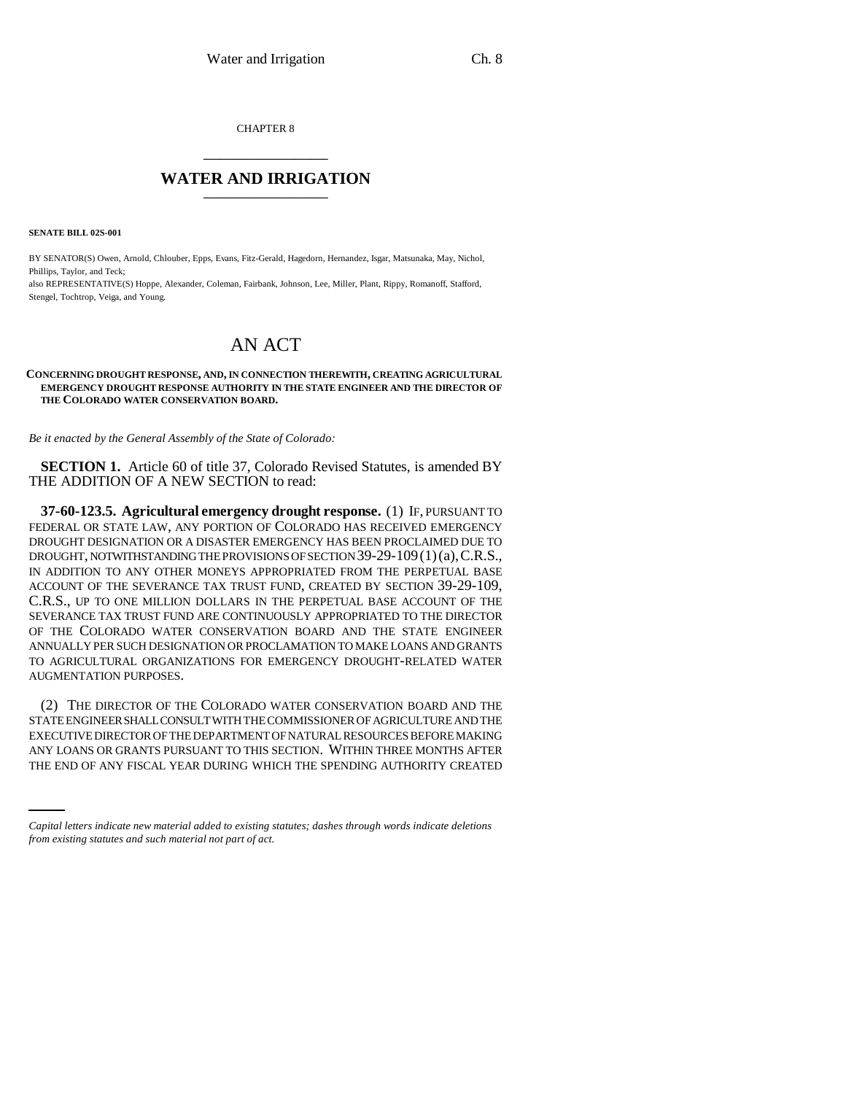CHAPTER 8 \_\_\_\_\_\_\_\_\_\_\_\_\_\_\_

## **WATER AND IRRIGATION** \_\_\_\_\_\_\_\_\_\_\_\_\_\_\_

**SENATE BILL 02S-001**

BY SENATOR(S) Owen, Arnold, Chlouber, Epps, Evans, Fitz-Gerald, Hagedorn, Hernandez, Isgar, Matsunaka, May, Nichol, Phillips, Taylor, and Teck;

also REPRESENTATIVE(S) Hoppe, Alexander, Coleman, Fairbank, Johnson, Lee, Miller, Plant, Rippy, Romanoff, Stafford, Stengel, Tochtrop, Veiga, and Young.

## AN ACT

## **CONCERNING DROUGHT RESPONSE, AND, IN CONNECTION THEREWITH, CREATING AGRICULTURAL EMERGENCY DROUGHT RESPONSE AUTHORITY IN THE STATE ENGINEER AND THE DIRECTOR OF THE COLORADO WATER CONSERVATION BOARD.**

*Be it enacted by the General Assembly of the State of Colorado:*

**SECTION 1.** Article 60 of title 37, Colorado Revised Statutes, is amended BY THE ADDITION OF A NEW SECTION to read:

**37-60-123.5. Agricultural emergency drought response.** (1) IF, PURSUANT TO FEDERAL OR STATE LAW, ANY PORTION OF COLORADO HAS RECEIVED EMERGENCY DROUGHT DESIGNATION OR A DISASTER EMERGENCY HAS BEEN PROCLAIMED DUE TO DROUGHT, NOTWITHSTANDING THE PROVISIONS OF SECTION 39-29-109(1)(a),C.R.S., IN ADDITION TO ANY OTHER MONEYS APPROPRIATED FROM THE PERPETUAL BASE ACCOUNT OF THE SEVERANCE TAX TRUST FUND, CREATED BY SECTION 39-29-109, C.R.S., UP TO ONE MILLION DOLLARS IN THE PERPETUAL BASE ACCOUNT OF THE SEVERANCE TAX TRUST FUND ARE CONTINUOUSLY APPROPRIATED TO THE DIRECTOR OF THE COLORADO WATER CONSERVATION BOARD AND THE STATE ENGINEER ANNUALLY PER SUCH DESIGNATION OR PROCLAMATION TO MAKE LOANS AND GRANTS TO AGRICULTURAL ORGANIZATIONS FOR EMERGENCY DROUGHT-RELATED WATER AUGMENTATION PURPOSES.

EXECUTIVE DIRECTOR OF THE DEPARTMENT OF NATURAL RESOURCES BEFORE MAKING (2) THE DIRECTOR OF THE COLORADO WATER CONSERVATION BOARD AND THE STATE ENGINEER SHALL CONSULT WITH THE COMMISSIONER OF AGRICULTURE AND THE ANY LOANS OR GRANTS PURSUANT TO THIS SECTION. WITHIN THREE MONTHS AFTER THE END OF ANY FISCAL YEAR DURING WHICH THE SPENDING AUTHORITY CREATED

*Capital letters indicate new material added to existing statutes; dashes through words indicate deletions from existing statutes and such material not part of act.*